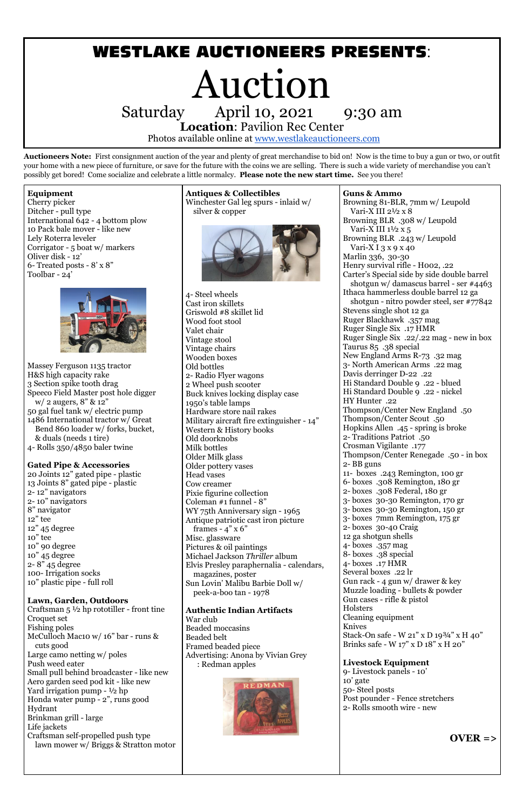## WESTLAKE AUCTIONEERS PRESENTS:

# Auction

## Saturday April 10, 2021 9:30 am

**Location**: Pavilion Rec Center

Photos available online a[t](http://www.westlakeauctioneers.com/) [www.westlakeauctioneers.com](http://www.westlakeauctioneers.com/)

**Auctioneers Note:** First consignment auction of the year and plenty of great merchandise to bid on! Now is the time to buy a gun or two, or outfit your home with a new piece of furniture, or save for the future with the coins we are selling. There is such a wide variety of merchandise you can't possibly get bored! Come socialize and celebrate a little normalcy. **Please note the new start time.** See you there!

#### **Equipment**

Cherry picker Ditcher - pull type International 642 - 4 bottom plow 10 Pack bale mover - like new Lely Roterra leveler Corrigator - 5 boat w/ markers Oliver disk - 12' 6- Treated posts - 8' x 8" Toolbar - 24'



Massey Ferguson 1135 tractor H&S high capacity rake 3 Section spike tooth drag Speeco Field Master post hole digger w/ 2 augers, 8" & 12" 50 gal fuel tank w/ electric pump 1486 International tractor w/ Great Bend 860 loader w/ forks, bucket, & duals (needs 1 tire) 4- Rolls 350/4850 baler twine

#### **Gated Pipe & Accessories**

20 Joints 12" gated pipe - plastic 13 Joints 8" gated pipe - plastic 2- 12" navigators 2- 10" navigators 8" navigator 12" tee 12" 45 degree 10" tee 10" 90 degree 10" 45 degree 2- 8" 45 degree 100- Irrigation socks 10" plastic pipe - full roll

**Lawn, Garden, Outdoors** Craftsman  $5\frac{1}{2}$  hp rototiller - front tine Croquet set Fishing poles McCulloch Mac10 w/ 16" bar - runs & cuts good Large camo netting w/ poles Push weed eater Small pull behind broadcaster - like new Aero garden seed pod kit - like new Yard irrigation pump - ½ hp Honda water pump - 2", runs good Hydrant Brinkman grill - large Life jackets Craftsman self-propelled push type lawn mower w/ Briggs & Stratton motor

### **Antiques & Collectibles**

Winchester Gal leg spurs - inlaid w/ silver & copper



4- Steel wheels Cast iron skillets Griswold #8 skillet lid Wood foot stool Valet chair Vintage stool Vintage chairs Wooden boxes Old bottles 2- Radio Flyer wagons 2 Wheel push scooter Buck knives locking display case 1950's table lamps Hardware store nail rakes Military aircraft fire extinguisher - 14" Western & History books Old doorknobs Milk bottles Older Milk glass Older pottery vases Head vases Cow creamer Pixie figurine collection Coleman #1 funnel - 8" WY 75th Anniversary sign - 1965 Antique patriotic cast iron picture frames -  $4$ " x  $6$ " Misc. glassware Pictures & oil paintings Michael Jackson *Thriller* album Elvis Presley paraphernalia - calendars, magazines, poster Sun Lovin' Malibu Barbie Doll w/ peek-a-boo tan - 1978

**Authentic Indian Artifacts** War club Beaded moccasins Beaded belt Framed beaded piece Advertising: Anona by Vivian Grey : Redman apples



#### **Guns & Ammo**

Browning 81-BLR, 7mm w/ Leupold Vari-X III 2½ x 8 Browning BLR .308 w/ Leupold Vari-X III  $1\frac{1}{2}$  x 5 Browning BLR .243 w/ Leupold Vari-X I 3 x 9 x 40 Marlin 336, 30-30 Henry survival rifle - H002, .22 Carter's Special side by side double barrel shotgun w/ damascus barrel - ser #4463 Ithaca hammerless double barrel 12 ga shotgun - nitro powder steel, ser #77842 Stevens single shot 12 ga Ruger Blackhawk .357 mag Ruger Single Six .17 HMR Ruger Single Six .22/.22 mag - new in box Taurus 85 .38 special New England Arms R-73 .32 mag 3- North American Arms .22 mag Davis derringer D-22 .22 Hi Standard Double 9 .22 - blued Hi Standard Double 9 .22 - nickel HY Hunter .22 Thompson/Center New England .50 Thompson/Center Scout .50 Hopkins Allen .45 - spring is broke 2- Traditions Patriot .50 Crosman Vigilante .177 Thompson/Center Renegade .50 - in box 2- BB guns 11- boxes .243 Remington, 100 gr 6- boxes .308 Remington, 180 gr 2- boxes .308 Federal, 180 gr 3- boxes 30-30 Remington, 170 gr 3- boxes 30-30 Remington, 150 gr 3- boxes 7mm Remington, 175 gr 2- boxes 30-40 Craig 12 ga shotgun shells 4- boxes .357 mag 8- boxes .38 special 4- boxes .17 HMR Several boxes .22 lr Gun rack - 4 gun w/ drawer & key Muzzle loading - bullets & powder Gun cases - rifle & pistol Holsters Cleaning equipment Knives Stack-On safe - W 21" x D 193/4" x H 40" Brinks safe - W 17" x D 18" x H 20"

#### **Livestock Equipment**

9- Livestock panels - 10' 10' gate 50- Steel posts Post pounder - Fence stretchers 2- Rolls smooth wire - new

**OVER =>**